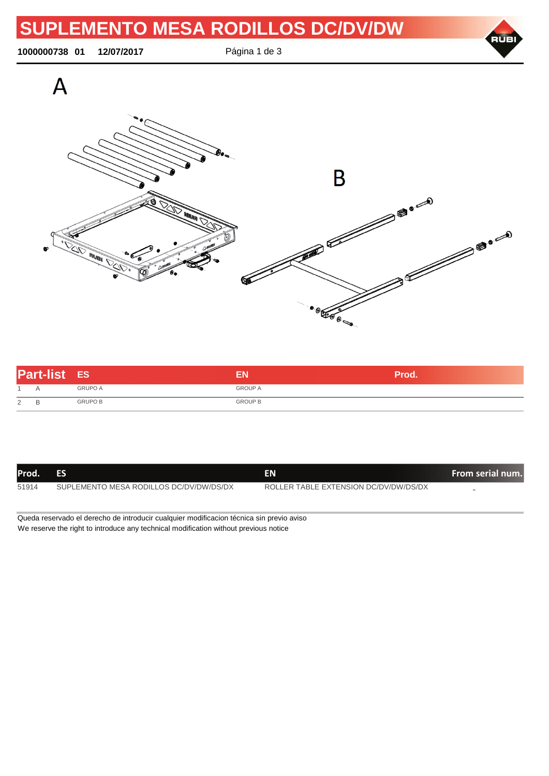**1000000738 01 12/07/2017** Página 1 de 3



| <b>Part-list ES</b> |        |                |                | <b>Prod.</b> |
|---------------------|--------|----------------|----------------|--------------|
|                     | А      | <b>GRUPO A</b> | <b>GROUP A</b> |              |
| 2                   | R<br>◡ | <b>GRUPO B</b> | <b>GROUP B</b> |              |

| Prod. | ES                                      | EN                                    | From serial num. |
|-------|-----------------------------------------|---------------------------------------|------------------|
| 51914 | SUPLEMENTO MESA RODILLOS DC/DV/DW/DS/DX | ROLLER TABLE EXTENSION DC/DV/DW/DS/DX |                  |

Queda reservado el derecho de introducir cualquier modificacion técnica sin previo aviso We reserve the right to introduce any technical modification without previous notice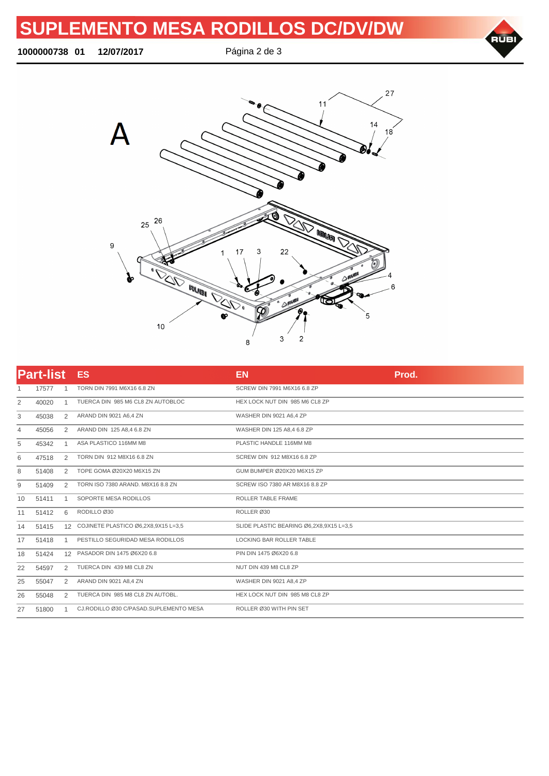## **SUPLEMENTO MESA RODILLOS DC/DV/DW**

**01 12/07/2017** Página 2 de 3





|                | <b>Part-list</b> |    | <b>ES</b>                              | <b>EN</b>                               | Prod. |
|----------------|------------------|----|----------------------------------------|-----------------------------------------|-------|
| 1              | 17577            |    | TORN DIN 7991 M6X16 6.8 ZN             | SCREW DIN 7991 M6X16 6.8 ZP             |       |
| 2              | 40020            | -1 | TUERCA DIN 985 M6 CL8 ZN AUTOBLOC      | HEX LOCK NUT DIN 985 M6 CL8 ZP          |       |
| 3              | 45038            | 2  | ARAND DIN 9021 A6,4 ZN                 | WASHER DIN 9021 A6,4 ZP                 |       |
| $\overline{4}$ | 45056            | 2  | ARAND DIN 125 A8,4 6.8 ZN              | WASHER DIN 125 A8,4 6.8 ZP              |       |
| 5              | 45342            |    | ASA PLASTICO 116MM M8                  | PLASTIC HANDLE 116MM M8                 |       |
| 6              | 47518            | 2  | TORN DIN 912 M8X16 6.8 ZN              | SCREW DIN 912 M8X16 6.8 ZP              |       |
| 8              | 51408            | 2  | TOPE GOMA Ø20X20 M6X15 ZN              | GUM BUMPER Ø20X20 M6X15 ZP              |       |
| 9              | 51409            | 2  | TORN ISO 7380 ARAND, M8X16 8.8 ZN      | SCREW ISO 7380 AR M8X16 8.8 ZP          |       |
| 10             | 51411            |    | SOPORTE MESA RODILLOS                  | ROLLER TABLE FRAME                      |       |
| 11             | 51412            | 6  | RODILLO Ø30                            | ROLLER Ø30                              |       |
| 14             | 51415            |    | 12 COJINETE PLASTICO Ø6,2X8,9X15 L=3,5 | SLIDE PLASTIC BEARING Ø6,2X8,9X15 L=3,5 |       |
| 17             | 51418            |    | PESTILLO SEGURIDAD MESA RODILLOS       | LOCKING BAR ROLLER TABLE                |       |
| 18             | 51424            |    | 12 PASADOR DIN 1475 Ø6X20 6.8          | PIN DIN 1475 Ø6X20 6.8                  |       |
| 22             | 54597            | 2  | TUERCA DIN 439 M8 CL8 ZN               | NUT DIN 439 M8 CL8 ZP                   |       |
| 25             | 55047            | 2  | ARAND DIN 9021 A8,4 ZN                 | WASHER DIN 9021 A8,4 ZP                 |       |
| 26             | 55048            | 2  | TUERCA DIN 985 M8 CL8 ZN AUTOBL.       | HEX LOCK NUT DIN 985 M8 CL8 ZP          |       |
| 27             | 51800            |    | CJ.RODILLO Ø30 C/PASAD.SUPLEMENTO MESA | ROLLER Ø30 WITH PIN SET                 |       |